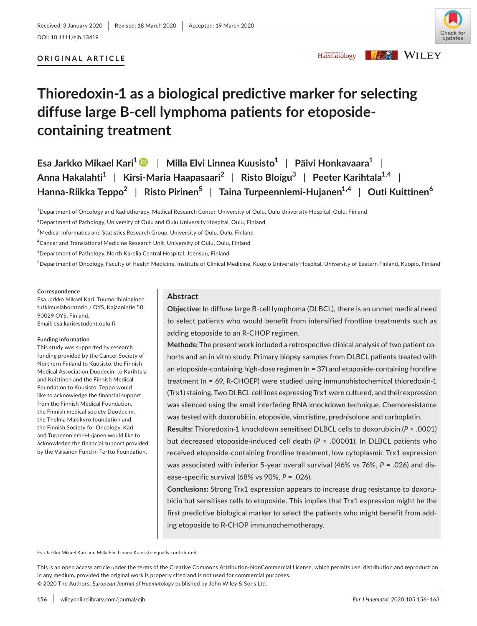# undates **KAS** WILEY

### **ORIGINAL ARTICLE**



# **Thioredoxin-1 as a biological predictive marker for selecting diffuse large B-cell lymphoma patients for etoposidecontaining treatment**

| Esa Jarkko Mikael Kari $^1 \bullet \quad   \quad$ Milla Elvi Linnea Kuusisto $^1 \quad   \quad$ Päivi Honkavaara $^1 \quad   \quad$    |
|----------------------------------------------------------------------------------------------------------------------------------------|
| Anna Hakalahti <sup>1</sup>   Kirsi-Maria Haapasaari <sup>2</sup>   Risto Bloigu <sup>3</sup>   Peeter Karihtala <sup>1,4</sup>        |
| Hanna-Riikka Teppo <sup>2</sup>   Risto Pirinen <sup>5</sup>   Taina Turpeenniemi-Hujanen <sup>1,4</sup>   Outi Kuittinen <sup>6</sup> |

1 Department of Oncology and Radiotherapy, Medical Research Center, University of Oulu, Oulu University Hospital, Oulu, Finland

 $^2$ Department of Pathology, University of Oulu and Oulu University Hospital, Oulu, Finland

4 Cancer and Translational Medicine Research Unit, University of Oulu, Oulu, Finland

5 Department of Pathology, North Karelia Central Hospital, Joensuu, Finland

6 Department of Oncology, Faculty of Health Medicine, Institute of Clinical Medicine, Kuopio University Hospital, University of Eastern Finland, Kuopio, Finland

#### **Correspondence**

Esa Jarkko Mikael Kari, Tuumoribiologinen tutkimuslaboratorio / OYS, Kajaanintie 50, 90029 OYS, Finland. Email: [esa.kari@student.oulu.fi](mailto:esa.kari@student.oulu.fi)

#### **Funding information**

This study was supported by research funding provided by the Cancer Society of Northern Finland to Kuusisto, the Finnish Medical Association Duodecim to Karihtala and Kuittinen and the Finnish Medical Foundation to Kuusisto. Teppo would like to acknowledge the financial support from the Finnish Medical Foundation, the Finnish medical society Duodecim, the Thelma Mäkikyrö foundation and the Finnish Society for Oncology. Kari and Turpeenniemi-Hujanen would like to acknowledge the financial support provided by the Väisänen Fund in Terttu Foundation.

#### **Abstract**

**Objective:** In diffuse large B-cell lymphoma (DLBCL), there is an unmet medical need to select patients who would benefit from intensified frontline treatments such as adding etoposide to an R-CHOP regimen.

**Methods:** The present work included a retrospective clinical analysis of two patient cohorts and an in vitro study. Primary biopsy samples from DLBCL patients treated with an etoposide-containing high-dose regimen (n = 37) and etoposide-containing frontline treatment (n = 69, R-CHOEP) were studied using immunohistochemical thioredoxin-1 (Trx1) staining. Two DLBCL cell lines expressing Trx1 were cultured, and their expression was silenced using the small interfering RNA knockdown technique. Chemoresistance was tested with doxorubicin, etoposide, vincristine, prednisolone and carboplatin.

**Results:** Thioredoxin-1 knockdown sensitised DLBCL cells to doxorubicin (*P* < .0001) but decreased etoposide-induced cell death (*P* < .00001). In DLBCL patients who received etoposide-containing frontline treatment, low cytoplasmic Trx1 expression was associated with inferior 5-year overall survival (46% vs 76%, *P* = .026) and disease-specific survival (68% vs 90%, *P* = .026).

**Conclusions:** Strong Trx1 expression appears to increase drug resistance to doxorubicin but sensitises cells to etoposide. This implies that Trx1 expression might be the first predictive biological marker to select the patients who might benefit from adding etoposide to R-CHOP immunochemotherapy.

Esa Jarkko Mikael Kari and Milla Elvi Linnea Kuusisto equally contributed.

This is an open access article under the terms of the [Creative Commons Attribution-NonCommercial](http://creativecommons.org/licenses/by-nc/4.0/) License, which permits use, distribution and reproduction in any medium, provided the original work is properly cited and is not used for commercial purposes. © 2020 The Authors. *European Journal of Haematology* published by John Wiley & Sons Ltd.

 $^3$ Medical Informatics and Statistics Research Group, University of Oulu, Oulu, Finland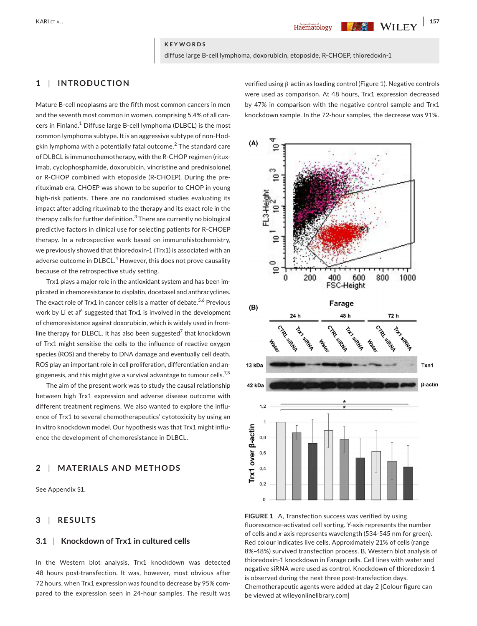#### **KEYWORDS**

diffuse large B-cell lymphoma, doxorubicin, etoposide, R-CHOEP, thioredoxin-1

# **1** | **INTRODUCTION**

Mature B-cell neoplasms are the fifth most common cancers in men and the seventh most common in women, comprising 5.4% of all cancers in Finland. $^1$  Diffuse large B-cell lymphoma (DLBCL) is the most common lymphoma subtype. It is an aggressive subtype of non-Hodgkin lymphoma with a potentially fatal outcome. $^{\rm 2}$  The standard care of DLBCL is immunochemotherapy, with the R-CHOP regimen (rituximab, cyclophosphamide, doxorubicin, vincristine and prednisolone) or R-CHOP combined with etoposide (R-CHOEP). During the prerituximab era, CHOEP was shown to be superior to CHOP in young high-risk patients. There are no randomised studies evaluating its impact after adding rituximab to the therapy and its exact role in the therapy calls for further definition.<sup>3</sup> There are currently no biological predictive factors in clinical use for selecting patients for R-CHOEP therapy. In a retrospective work based on immunohistochemistry, we previously showed that thioredoxin-1 (Trx1) is associated with an adverse outcome in DLBCL.<sup>4</sup> However, this does not prove causality because of the retrospective study setting.

Trx1 plays a major role in the antioxidant system and has been implicated in chemoresistance to cisplatin, docetaxel and anthracyclines. The exact role of Trx1 in cancer cells is a matter of debate.<sup>5,6</sup> Previous work by Li et al<sup>6</sup> suggested that Trx1 is involved in the development of chemoresistance against doxorubicin, which is widely used in frontline therapy for DLBCL. It has also been suggested $^7$  that knockdown of Trx1 might sensitise the cells to the influence of reactive oxygen species (ROS) and thereby to DNA damage and eventually cell death. ROS play an important role in cell proliferation, differentiation and angiogenesis, and this might give a survival advantage to tumour cells.<sup>7,8</sup>

The aim of the present work was to study the causal relationship between high Trx1 expression and adverse disease outcome with different treatment regimens. We also wanted to explore the influence of Trx1 to several chemotherapeutics' cytotoxicity by using an in vitro knockdown model. Our hypothesis was that Trx1 might influence the development of chemoresistance in DLBCL.

# **2** | **MATERIALS AND METHODS**

See Appendix S1.

## **3** | **RESULTS**

# **3.1** | **Knockdown of Trx1 in cultured cells**

In the Western blot analysis, Trx1 knockdown was detected 48 hours post-transfection. It was, however, most obvious after 72 hours, when Trx1 expression was found to decrease by 95% compared to the expression seen in 24-hour samples. The result was verified using β-actin as loading control (Figure 1). Negative controls were used as comparison. At 48 hours, Trx1 expression decreased by 47% in comparison with the negative control sample and Trx1 knockdown sample. In the 72-hour samples, the decrease was 91%.



**FIGURE 1** A, Transfection success was verified by using fluorescence-activated cell sorting. *Y*-axis represents the number of cells and *x*-axis represents wavelength (534-545 nm for green). Red colour indicates live cells. Approximately 21% of cells (range 8%-48%) survived transfection process. B, Western blot analysis of thioredoxin-1 knockdown in Farage cells. Cell lines with water and negative siRNA were used as control. Knockdown of thioredoxin-1 is observed during the next three post-transfection days. Chemotherapeutic agents were added at day 2 [Colour figure can be viewed at [wileyonlinelibrary.com\]](www.wileyonlinelibrary.com)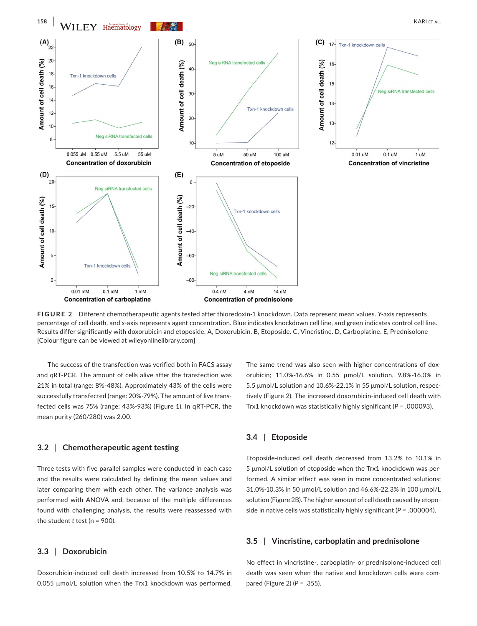

**FIGURE 2** Different chemotherapeutic agents tested after thioredoxin-1 knockdown. Data represent mean values. *Y*-axis represents percentage of cell death, and *x*-axis represents agent concentration. Blue indicates knockdown cell line, and green indicates control cell line. Results differ significantly with doxorubicin and etoposide. A, Doxorubicin. B, Etoposide. C, Vincristine. D, Carboplatine. E, Prednisolone [Colour figure can be viewed at [wileyonlinelibrary.com\]](www.wileyonlinelibrary.com)

The success of the transfection was verified both in FACS assay and qRT-PCR. The amount of cells alive after the transfection was 21% in total (range: 8%-48%). Approximately 43% of the cells were successfully transfected (range: 20%-79%). The amount of live transfected cells was 75% (range: 43%-93%) (Figure 1). In qRT-PCR, the mean purity (260/280) was 2.00.

#### **3.2** | **Chemotherapeutic agent testing**

Three tests with five parallel samples were conducted in each case and the results were calculated by defining the mean values and later comparing them with each other. The variance analysis was performed with ANOVA and, because of the multiple differences found with challenging analysis, the results were reassessed with the student  $t$  test ( $n = 900$ ).

#### **3.3** | **Doxorubicin**

Doxorubicin-induced cell death increased from 10.5% to 14.7% in 0.055 µmol/L solution when the Trx1 knockdown was performed.

The same trend was also seen with higher concentrations of doxorubicin; 11.0%-16.6% in 0.55 µmol/L solution, 9.8%-16.0% in 5.5 µmol/L solution and 10.6%-22.1% in 55 µmol/L solution, respectively (Figure 2). The increased doxorubicin-induced cell death with Trx1 knockdown was statistically highly significant (*P* = .000093).

#### **3.4** | **Etoposide**

Etoposide-induced cell death decreased from 13.2% to 10.1% in 5 µmol/L solution of etoposide when the Trx1 knockdown was performed. A similar effect was seen in more concentrated solutions: 31.0%-10.3% in 50 µmol/L solution and 46.6%-22.3% in 100 µmol/L solution (Figure 2B). The higher amount of cell death caused by etoposide in native cells was statistically highly significant (*P* = .000004).

### **3.5** | **Vincristine, carboplatin and prednisolone**

No effect in vincristine-, carboplatin- or prednisolone-induced cell death was seen when the native and knockdown cells were compared (Figure 2) (*P* = .355).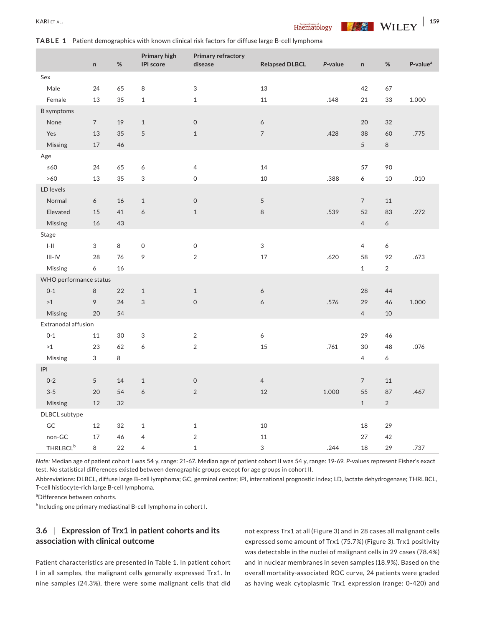**<u>KARI ET AL.</u> 159** 

| <b>TABLE 1</b> Patient demographics with known clinical risk factors for diffuse large B-cell lymphoma |
|--------------------------------------------------------------------------------------------------------|
|--------------------------------------------------------------------------------------------------------|

|                             | $\mathsf{n}$   | $\%$ | Primary high<br><b>IPI</b> score | Primary refractory<br>disease | <b>Relapsed DLBCL</b> | P-value | $\mathsf{n}$   | $\%$           | $P$ -value <sup>a</sup> |  |
|-----------------------------|----------------|------|----------------------------------|-------------------------------|-----------------------|---------|----------------|----------------|-------------------------|--|
| Sex                         |                |      |                                  |                               |                       |         |                |                |                         |  |
| Male                        | 24             | 65   | 8                                | 3                             | 13                    |         | 42             | 67             |                         |  |
| Female                      | 13             | 35   | $\mathbf{1}$                     | $\mathbf{1}$                  | 11                    | .148    | 21             | 33             | 1.000                   |  |
| <b>B</b> symptoms           |                |      |                                  |                               |                       |         |                |                |                         |  |
| None                        | $\overline{7}$ | 19   | $\mathbf{1}$                     | $\mathsf{O}\xspace$           | 6                     |         | 20             | 32             |                         |  |
| Yes                         | 13             | 35   | $\sqrt{5}$                       | $\,1\,$                       | $\overline{7}$        | .428    | 38             | 60             | .775                    |  |
| Missing                     | 17             | 46   |                                  |                               |                       |         | $\sqrt{5}$     | 8              |                         |  |
| Age                         |                |      |                                  |                               |                       |         |                |                |                         |  |
| $\leq 60$                   | 24             | 65   | 6                                | $\overline{4}$                | 14                    |         | 57             | 90             |                         |  |
| >60                         | 13             | 35   | $\ensuremath{\mathsf{3}}$        | $\mathsf{O}\xspace$           | 10                    | .388    | 6              | 10             | .010                    |  |
| LD levels                   |                |      |                                  |                               |                       |         |                |                |                         |  |
| Normal                      | 6              | 16   | $\mathbf{1}$                     | 0                             | 5                     |         | $\overline{7}$ | 11             |                         |  |
| Elevated                    | 15             | 41   | $\boldsymbol{6}$                 | $\mathbf 1$                   | $\,8\,$               | .539    | 52             | 83             | .272                    |  |
| Missing                     | 16             | 43   |                                  |                               |                       |         | $\overline{4}$ | 6              |                         |  |
| Stage                       |                |      |                                  |                               |                       |         |                |                |                         |  |
| $I-II$                      | 3              | 8    | $\mathsf{O}\xspace$              | $\mathsf O$                   | 3                     |         | $\overline{4}$ | 6              |                         |  |
| $III-IV$                    | 28             | 76   | 9                                | $\overline{2}$                | 17                    | .620    | 58             | 92             | .673                    |  |
| Missing                     | 6              | 16   |                                  |                               |                       |         | $\mathbf 1$    | $\overline{2}$ |                         |  |
| WHO performance status      |                |      |                                  |                               |                       |         |                |                |                         |  |
| $0 - 1$                     | $\,8\,$        | 22   | $\,1\,$                          | $\,1\,$                       | $\boldsymbol{6}$      |         | 28             | 44             |                         |  |
| >1                          | 9              | 24   | $\mathfrak{S}$                   | $\mathsf{O}\xspace$           | 6                     | .576    | 29             | 46             | 1.000                   |  |
| Missing                     | 20             | 54   |                                  |                               |                       |         | $\overline{4}$ | 10             |                         |  |
| Extranodal affusion         |                |      |                                  |                               |                       |         |                |                |                         |  |
| $0 - 1$                     | 11             | 30   | $\ensuremath{\mathsf{3}}$        | $\sqrt{2}$                    | $\boldsymbol{6}$      |         | 29             | 46             |                         |  |
| $>1$                        | 23             | 62   | $\boldsymbol{6}$                 | $\overline{2}$                | 15                    | .761    | 30             | 48             | .076                    |  |
| Missing                     | 3              | 8    |                                  |                               |                       |         | $\overline{4}$ | 6              |                         |  |
| P                           |                |      |                                  |                               |                       |         |                |                |                         |  |
| $0 - 2$                     | 5              | 14   | $\mathbf{1}$                     | $\mathsf O$                   | $\overline{4}$        |         | $\overline{7}$ | 11             |                         |  |
| $3 - 5$                     | 20             | 54   | $\boldsymbol{6}$                 | $\overline{2}$                | 12                    | 1.000   | 55             | 87             | .467                    |  |
| Missing                     | 12             | 32   |                                  |                               |                       |         | $\mathbf{1}$   | $\overline{2}$ |                         |  |
| DLBCL subtype               |                |      |                                  |                               |                       |         |                |                |                         |  |
| GC                          | 12             | 32   | $\mathbf{1}$                     | $1\,$                         | 10                    |         | 18             | 29             |                         |  |
| non-GC                      | 17             | 46   | 4                                | $\overline{2}$                | 11                    |         | 27             | 42             |                         |  |
| <b>THRLBCL</b> <sup>b</sup> | 8              | 22   | $\overline{4}$                   | $\mathbf{1}$                  | 3                     | .244    | 18             | 29             | .737                    |  |

*Note:* Median age of patient cohort I was 54 y, range: 21-67. Median age of patient cohort II was 54 y, range: 19-69. *P*-values represent Fisher's exact test. No statistical differences existed between demographic groups except for age groups in cohort II.

Abbreviations: DLBCL, diffuse large B-cell lymphoma; GC, germinal centre; IPI, international prognostic index; LD, lactate dehydrogenase; THRLBCL, T-cell histiocyte-rich large B-cell lymphoma.

a Difference between cohorts.

<sup>b</sup>Including one primary mediastinal B-cell lymphoma in cohort I.

# **3.6** | **Expression of Trx1 in patient cohorts and its association with clinical outcome**

Patient characteristics are presented in Table 1. In patient cohort I in all samples, the malignant cells generally expressed Trx1. In nine samples (24.3%), there were some malignant cells that did

not express Trx1 at all (Figure 3) and in 28 cases all malignant cells expressed some amount of Trx1 (75.7%) (Figure 3). Trx1 positivity was detectable in the nuclei of malignant cells in 29 cases (78.4%) and in nuclear membranes in seven samples (18.9%). Based on the overall mortality-associated ROC curve, 24 patients were graded as having weak cytoplasmic Trx1 expression (range: 0-420) and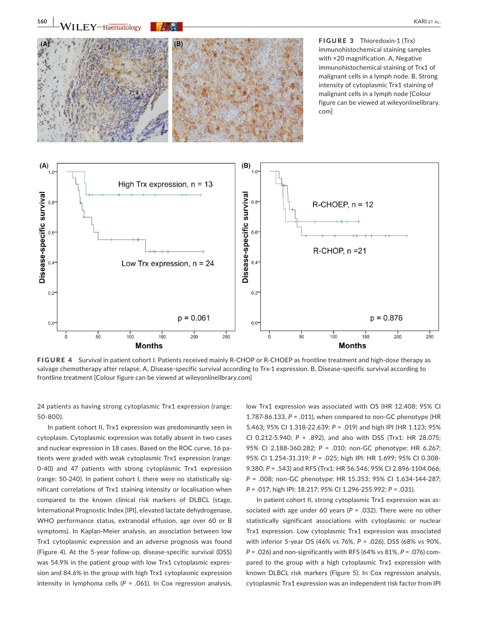



**FIGURE 4** Survival in patient cohort I. Patients received mainly R-CHOP or R-CHOEP as frontline treatment and high-dose therapy as salvage chemotherapy after relapse. A, Disease-specific survival according to Trx-1 expression. B, Disease-specific survival according to frontline treatment [Colour figure can be viewed at [wileyonlinelibrary.com\]](www.wileyonlinelibrary.com)

24 patients as having strong cytoplasmic Trx1 expression (range: 50-800).

In patient cohort II, Trx1 expression was predominantly seen in cytoplasm. Cytoplasmic expression was totally absent in two cases and nuclear expression in 18 cases. Based on the ROC curve, 16 patients were graded with weak cytoplasmic Trx1 expression (range: 0-40) and 47 patients with strong cytoplasmic Trx1 expression (range: 50-240). In patient cohort I, there were no statistically significant correlations of Trx1 staining intensity or localisation when compared to the known clinical risk markers of DLBCL (stage, International Prognostic Index [IPI], elevated lactate dehydrogenase, WHO performance status, extranodal effusion, age over 60 or B symptoms). In Kaplan-Meier analysis, an association between low Trx1 cytoplasmic expression and an adverse prognosis was found (Figure 4). At the 5-year follow-up, disease-specific survival (DSS) was 54.9% in the patient group with low Trx1 cytoplasmic expression and 84.6% in the group with high Trx1 cytoplasmic expression intensity in lymphoma cells (*P* = .061). In Cox regression analysis,

low Trx1 expression was associated with OS (HR 12.408; 95% CI 1.787-86.133, *P* = .011), when compared to non-GC phenotype (HR 5.463; 95% CI 1.318-22.639; *P* = .019) and high IPI (HR 1.123; 95% CI 0.212-5.940; *P* = .892), and also with DSS (Trx1: HR 28.075; 95% CI 2.188-360.282; *P* = .010; non-GC phenotype: HR 6.267; 95% CI 1.254-31.319; *P* = .025; high IPI: HR 1.699; 95% CI 0.308- 9.380; *P* = .543) and RFS (Trx1: HR 56.546; 95% CI 2.896-1104.066; *P* = .008; non-GC phenotype: HR 15.353; 95% CI 1.634-144-287; *P* = .017; high IPI: 18.217; 95% CI 1.296-255.992; *P* = .031).

In patient cohort II, strong cytoplasmic Trx1 expression was associated with age under 60 years (*P* = .032). There were no other statistically significant associations with cytoplasmic or nuclear Trx1 expression. Low cytoplasmic Trx1 expression was associated with inferior 5-year OS (46% vs 76%, *P* = .026), DSS (68% vs 90%, *P* = .026) and non-significantly with RFS (64% vs 81%, *P* = .076) compared to the group with a high cytoplasmic Trx1 expression with known DLBCL risk markers (Figure 5). In Cox regression analysis, cytoplasmic Trx1 expression was an independent risk factor from IPI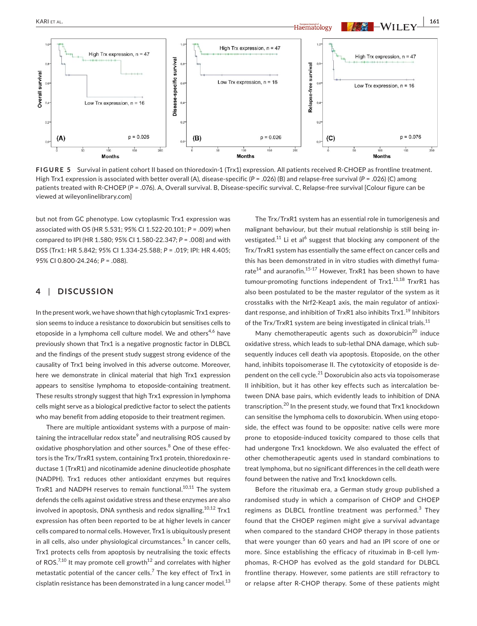

**FIGURE 5** Survival in patient cohort II based on thioredoxin-1 (Trx1) expression. All patients received R-CHOEP as frontline treatment. High Trx1 expression is associated with better overall (A), disease-specific (*P* = .026) (B) and relapse-free survival (*P* = .026) (C) among patients treated with R-CHOEP ( $P = .076$ ). A, Overall survival. B, Disease-specific survival. C, Relapse-free survival [Colour figure can be viewed at [wileyonlinelibrary.com\]](www.wileyonlinelibrary.com)

but not from GC phenotype. Low cytoplasmic Trx1 expression was associated with OS (HR 5.531; 95% CI 1.522-20.101; *P* = .009) when compared to IPI (HR 1.580; 95% CI 1.580-22.347; *P* = .008) and with DSS (Trx1: HR 5.842; 95% CI 1.334-25.588; *P* = .019; IPI: HR 4.405; 95% CI 0.800-24.246; *P* = .088).

### **4** | **DISCUSSION**

In the present work, we have shown that high cytoplasmic Trx1 expression seems to induce a resistance to doxorubicin but sensitises cells to etoposide in a lymphoma cell culture model. We and others<sup>4,6</sup> have previously shown that Trx1 is a negative prognostic factor in DLBCL and the findings of the present study suggest strong evidence of the causality of Trx1 being involved in this adverse outcome. Moreover, here we demonstrate in clinical material that high Trx1 expression appears to sensitise lymphoma to etoposide-containing treatment. These results strongly suggest that high Trx1 expression in lymphoma cells might serve as a biological predictive factor to select the patients who may benefit from adding etoposide to their treatment regimen.

There are multiple antioxidant systems with a purpose of maintaining the intracellular redox state $^9$  and neutralising ROS caused by oxidative phosphorylation and other sources.<sup>8</sup> One of these effectors is the Trx/TrxR1 system, containing Trx1 protein, thioredoxin reductase 1 (TrxR1) and nicotinamide adenine dinucleotide phosphate (NADPH). Trx1 reduces other antioxidant enzymes but requires TrxR1 and NADPH reserves to remain functional.<sup>10,11</sup> The system defends the cells against oxidative stress and these enzymes are also involved in apoptosis, DNA synthesis and redox signalling.<sup>10,12</sup> Trx1 expression has often been reported to be at higher levels in cancer cells compared to normal cells. However, Trx1 is ubiquitously present in all cells, also under physiological circumstances.<sup>5</sup> In cancer cells, Trx1 protects cells from apoptosis by neutralising the toxic effects of ROS.<sup>7,10</sup> It may promote cell growth<sup>12</sup> and correlates with higher metastatic potential of the cancer cells.<sup>7</sup> The key effect of Trx1 in cisplatin resistance has been demonstrated in a lung cancer model.<sup>13</sup>

The Trx/TrxR1 system has an essential role in tumorigenesis and malignant behaviour, but their mutual relationship is still being investigated.<sup>11</sup> Li et al<sup>6</sup> suggest that blocking any component of the Trx/TrxR1 system has essentially the same effect on cancer cells and this has been demonstrated in in vitro studies with dimethyl fumarate<sup>14</sup> and auranofin.<sup>15-17</sup> However, TrxR1 has been shown to have tumour-promoting functions independent of Trx1.<sup>11,18</sup> TrxrR1 has also been postulated to be the master regulator of the system as it crosstalks with the Nrf2-Keap1 axis, the main regulator of antioxidant response, and inhibition of TrxR1 also inhibits Trx1.<sup>19</sup> Inhibitors of the Trx/TrxR1 system are being investigated in clinical trials.<sup>11</sup>

Many chemotherapeutic agents such as doxorubicin<sup>20</sup> induce oxidative stress, which leads to sub-lethal DNA damage, which subsequently induces cell death via apoptosis. Etoposide, on the other hand, inhibits topoisomerase II. The cytotoxicity of etoposide is dependent on the cell cycle. $^{21}$  Doxorubicin also acts via topoisomerase II inhibition, but it has other key effects such as intercalation between DNA base pairs, which evidently leads to inhibition of DNA transcription.<sup>20</sup> In the present study, we found that Trx1 knockdown can sensitise the lymphoma cells to doxorubicin. When using etoposide, the effect was found to be opposite: native cells were more prone to etoposide-induced toxicity compared to those cells that had undergone Trx1 knockdown. We also evaluated the effect of other chemotherapeutic agents used in standard combinations to treat lymphoma, but no significant differences in the cell death were found between the native and Trx1 knockdown cells.

Before the rituximab era, a German study group published a randomised study in which a comparison of CHOP and CHOEP regimens as DLBCL frontline treatment was performed.<sup>3</sup> They found that the CHOEP regimen might give a survival advantage when compared to the standard CHOP therapy in those patients that were younger than 60 years and had an IPI score of one or more. Since establishing the efficacy of rituximab in B-cell lymphomas, R-CHOP has evolved as the gold standard for DLBCL frontline therapy. However, some patients are still refractory to or relapse after R-CHOP therapy. Some of these patients might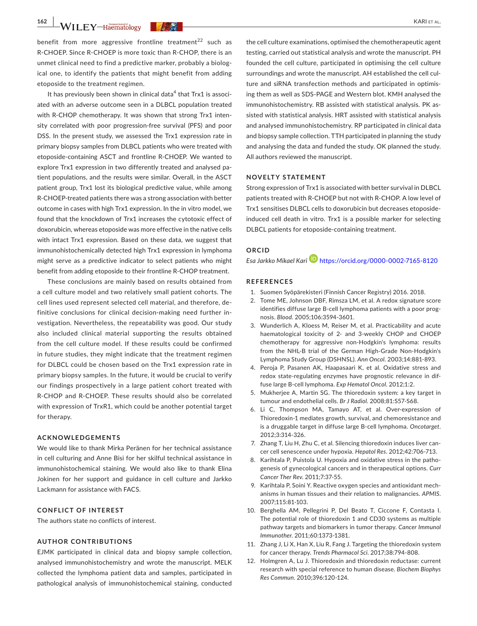**162 |**  KARI et al.

benefit from more aggressive frontline treatment<sup>22</sup> such as R-CHOEP. Since R-CHOEP is more toxic than R-CHOP, there is an unmet clinical need to find a predictive marker, probably a biological one, to identify the patients that might benefit from adding etoposide to the treatment regimen.

It has previously been shown in clinical data<sup>4</sup> that Trx1 is associated with an adverse outcome seen in a DLBCL population treated with R-CHOP chemotherapy. It was shown that strong Trx1 intensity correlated with poor progression-free survival (PFS) and poor DSS. In the present study, we assessed the Trx1 expression rate in primary biopsy samples from DLBCL patients who were treated with etoposide-containing ASCT and frontline R-CHOEP. We wanted to explore Trx1 expression in two differently treated and analysed patient populations, and the results were similar. Overall, in the ASCT patient group, Trx1 lost its biological predictive value, while among R-CHOEP-treated patients there was a strong association with better outcome in cases with high Trx1 expression. In the in vitro model, we found that the knockdown of Trx1 increases the cytotoxic effect of doxorubicin, whereas etoposide was more effective in the native cells with intact Trx1 expression. Based on these data, we suggest that immunohistochemically detected high Trx1 expression in lymphoma might serve as a predictive indicator to select patients who might benefit from adding etoposide to their frontline R-CHOP treatment.

These conclusions are mainly based on results obtained from a cell culture model and two relatively small patient cohorts. The cell lines used represent selected cell material, and therefore, definitive conclusions for clinical decision-making need further investigation. Nevertheless, the repeatability was good. Our study also included clinical material supporting the results obtained from the cell culture model. If these results could be confirmed in future studies, they might indicate that the treatment regimen for DLBCL could be chosen based on the Trx1 expression rate in primary biopsy samples. In the future, it would be crucial to verify our findings prospectively in a large patient cohort treated with R-CHOP and R-CHOEP. These results should also be correlated with expression of TrxR1, which could be another potential target for therapy.

#### **ACKNOWLEDGEMENTS**

We would like to thank Mirka Peränen for her technical assistance in cell culturing and Anne Bisi for her skilful technical assistance in immunohistochemical staining. We would also like to thank Elina Jokinen for her support and guidance in cell culture and Jarkko Lackmann for assistance with FACS.

# **CONFLICT OF INTEREST**

The authors state no conflicts of interest.

#### **AUTHOR CONTRIBUTIONS**

EJMK participated in clinical data and biopsy sample collection, analysed immunohistochemistry and wrote the manuscript. MELK collected the lymphoma patient data and samples, participated in pathological analysis of immunohistochemical staining, conducted

the cell culture examinations, optimised the chemotherapeutic agent testing, carried out statistical analysis and wrote the manuscript. PH founded the cell culture, participated in optimising the cell culture surroundings and wrote the manuscript. AH established the cell culture and siRNA transfection methods and participated in optimising them as well as SDS-PAGE and Western blot. KMH analysed the immunohistochemistry. RB assisted with statistical analysis. PK assisted with statistical analysis. HRT assisted with statistical analysis and analysed immunohistochemistry. RP participated in clinical data and biopsy sample collection. TTH participated in planning the study and analysing the data and funded the study. OK planned the study. All authors reviewed the manuscript.

#### **NOVELTY STATEMENT**

Strong expression of Trx1 is associated with better survival in DLBCL patients treated with R-CHOEP but not with R-CHOP. A low level of Trx1 sensitises DLBCL cells to doxorubicin but decreases etoposideinduced cell death in vitro. Trx1 is a possible marker for selecting DLBCL patients for etoposide-containing treatment.

#### **ORCID**

*Esa Jarkko Mikael Kari* <https://orcid.org/0000-0002-7165-8120>

#### **REFERENCES**

- 1. Suomen Syöpärekisteri (Finnish Cancer Registry) 2016. 2018.
- 2. Tome ME, Johnson DBF, Rimsza LM, et al. A redox signature score identifies diffuse large B-cell lymphoma patients with a poor prognosis. *Blood*. 2005;106:3594-3601.
- 3. Wunderlich A, Kloess M, Reiser M, et al. Practicability and acute haematological toxicity of 2- and 3-weekly CHOP and CHOEP chemotherapy for aggressive non-Hodgkin's lymphoma: results from the NHL-B trial of the German High-Grade Non-Hodgkin's Lymphoma Study Group (DSHNSL). *Ann Oncol*. 2003;14:881-893.
- 4. Peroja P, Pasanen AK, Haapasaari K, et al. Oxidative stress and redox state-regulating enzymes have prognostic relevance in diffuse large B-cell lymphoma. *Exp Hematol Oncol*. 2012;1:2.
- 5. Mukherjee A, Martin SG. The thioredoxin system: a key target in tumour and endothelial cells. *Br J Radiol*. 2008;81:S57-S68.
- 6. Li C, Thompson MA, Tamayo AT, et al. Over-expression of Thioredoxin-1 mediates growth, survival, and chemoresistance and is a druggable target in diffuse large B-cell lymphoma. *Oncotarget*. 2012;3:314-326.
- 7. Zhang T, Liu H, Zhu C, et al. Silencing thioredoxin induces liver cancer cell senescence under hypoxia. *Hepatol Res*. 2012;42:706-713.
- 8. Karihtala P, Puistola U. Hypoxia and oxidative stress in the pathogenesis of gynecological cancers and in therapeutical options. *Curr Cancer Ther Rev*. 2011;7:37-55.
- 9. Karihtala P, Soini Y. Reactive oxygen species and antioxidant mechanisms in human tissues and their relation to malignancies. *APMIS*. 2007;115:81-103.
- 10. Berghella AM, Pellegrini P, Del Beato T, Ciccone F, Contasta I. The potential role of thioredoxin 1 and CD30 systems as multiple pathway targets and biomarkers in tumor therapy. *Cancer Immunol Immunother*. 2011;60:1373-1381.
- 11. Zhang J, Li X, Han X, Liu R, Fang J. Targeting the thioredoxin system for cancer therapy. *Trends Pharmacol Sci*. 2017;38:794-808.
- 12. Holmgren A, Lu J. Thioredoxin and thioredoxin reductase: current research with special reference to human disease. *Biochem Biophys Res Commun*. 2010;396:120-124.